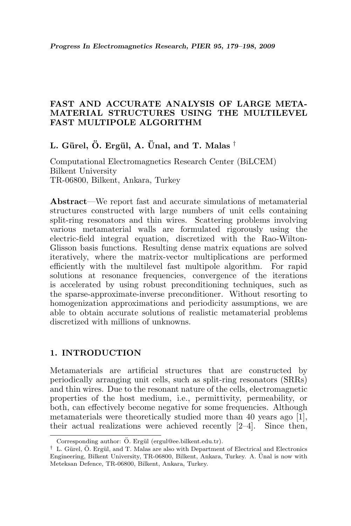## FAST AND ACCURATE ANALYSIS OF LARGE META-MATERIAL STRUCTURES USING THE MULTILEVEL FAST MULTIPOLE ALGORITHM

L. Gürel, Ö. Ergül, A. Ünal, and T. Malas  $^{\dagger}$ 

Computational Electromagnetics Research Center (BiLCEM) Bilkent University TR-06800, Bilkent, Ankara, Turkey

Abstract—We report fast and accurate simulations of metamaterial structures constructed with large numbers of unit cells containing split-ring resonators and thin wires. Scattering problems involving various metamaterial walls are formulated rigorously using the electric-field integral equation, discretized with the Rao-Wilton-Glisson basis functions. Resulting dense matrix equations are solved iteratively, where the matrix-vector multiplications are performed efficiently with the multilevel fast multipole algorithm. For rapid solutions at resonance frequencies, convergence of the iterations is accelerated by using robust preconditioning techniques, such as the sparse-approximate-inverse preconditioner. Without resorting to homogenization approximations and periodicity assumptions, we are able to obtain accurate solutions of realistic metamaterial problems discretized with millions of unknowns.

### 1. INTRODUCTION

Metamaterials are artificial structures that are constructed by periodically arranging unit cells, such as split-ring resonators (SRRs) and thin wires. Due to the resonant nature of the cells, electromagnetic properties of the host medium, i.e., permittivity, permeability, or both, can effectively become negative for some frequencies. Although metamaterials were theoretically studied more than 40 years ago [1], their actual realizations were achieved recently [2–4]. Since then,

Corresponding author: Ö. Ergül (ergul@ee.bilkent.edu.tr).

 $\dagger$  L. Gürel, Ö. Ergül, and T. Malas are also with Department of Electrical and Electronics Engineering, Bilkent University, TR-06800, Bilkent, Ankara, Turkey. A. Unal is now with ¨ Meteksan Defence, TR-06800, Bilkent, Ankara, Turkey.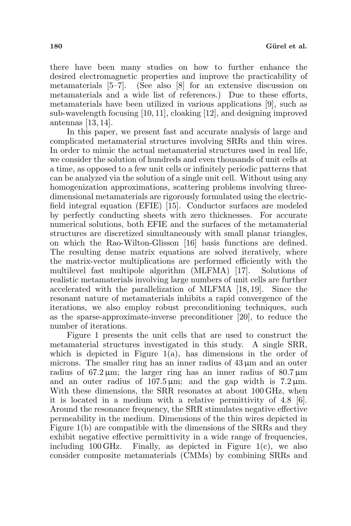there have been many studies on how to further enhance the desired electromagnetic properties and improve the practicability of metamaterials [5–7]. (See also [8] for an extensive discussion on metamaterials and a wide list of references.) Due to these efforts, metamaterials have been utilized in various applications [9], such as sub-wavelength focusing [10, 11], cloaking [12], and designing improved antennas [13, 14].

In this paper, we present fast and accurate analysis of large and complicated metamaterial structures involving SRRs and thin wires. In order to mimic the actual metamaterial structures used in real life, we consider the solution of hundreds and even thousands of unit cells at a time, as opposed to a few unit cells or infinitely periodic patterns that can be analyzed via the solution of a single unit cell. Without using any homogenization approximations, scattering problems involving threedimensional metamaterials are rigorously formulated using the electricfield integral equation (EFIE) [15]. Conductor surfaces are modeled by perfectly conducting sheets with zero thicknesses. For accurate numerical solutions, both EFIE and the surfaces of the metamaterial structures are discretized simultaneously with small planar triangles, on which the Rao-Wilton-Glisson [16] basis functions are defined. The resulting dense matrix equations are solved iteratively, where the matrix-vector multiplications are performed efficiently with the multilevel fast multipole algorithm (MLFMA) [17]. Solutions of realistic metamaterials involving large numbers of unit cells are further accelerated with the parallelization of MLFMA [18, 19]. Since the resonant nature of metamaterials inhibits a rapid convergence of the iterations, we also employ robust preconditioning techniques, such as the sparse-approximate-inverse preconditioner [20], to reduce the number of iterations.

Figure 1 presents the unit cells that are used to construct the metamaterial structures investigated in this study. A single SRR, which is depicted in Figure  $1(a)$ , has dimensions in the order of microns. The smaller ring has an inner radius of  $43 \mu m$  and an outer radius of  $67.2 \,\mu m$ ; the larger ring has an inner radius of  $80.7 \,\mu m$ and an outer radius of  $107.5 \,\mu \text{m}$ ; and the gap width is  $7.2 \,\mu \text{m}$ . With these dimensions, the SRR resonates at about 100 GHz, when it is located in a medium with a relative permittivity of 4.8 [6]. Around the resonance frequency, the SRR stimulates negative effective permeability in the medium. Dimensions of the thin wires depicted in Figure 1(b) are compatible with the dimensions of the SRRs and they exhibit negative effective permittivity in a wide range of frequencies, including 100 GHz. Finally, as depicted in Figure  $1(c)$ , we also consider composite metamaterials (CMMs) by combining SRRs and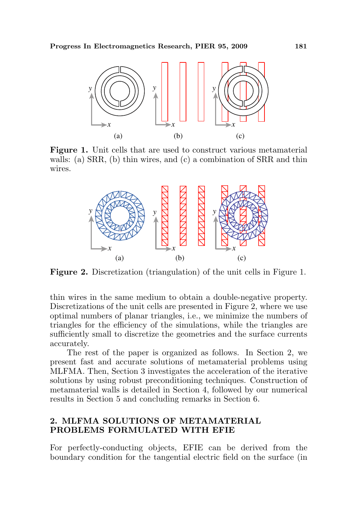

Figure 1. Unit cells that are used to construct various metamaterial walls: (a) SRR, (b) thin wires, and (c) a combination of SRR and thin wires.



Figure 2. Discretization (triangulation) of the unit cells in Figure 1.

thin wires in the same medium to obtain a double-negative property. Discretizations of the unit cells are presented in Figure 2, where we use optimal numbers of planar triangles, i.e., we minimize the numbers of triangles for the efficiency of the simulations, while the triangles are sufficiently small to discretize the geometries and the surface currents accurately.

The rest of the paper is organized as follows. In Section 2, we present fast and accurate solutions of metamaterial problems using MLFMA. Then, Section 3 investigates the acceleration of the iterative solutions by using robust preconditioning techniques. Construction of metamaterial walls is detailed in Section 4, followed by our numerical results in Section 5 and concluding remarks in Section 6.

## 2. MLFMA SOLUTIONS OF METAMATERIAL PROBLEMS FORMULATED WITH EFIE

For perfectly-conducting objects, EFIE can be derived from the boundary condition for the tangential electric field on the surface (in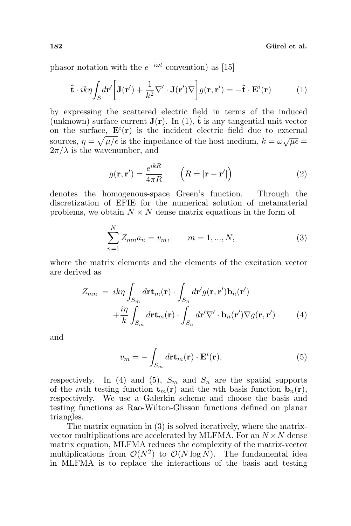phasor notation with the  $e^{-i\omega t}$  convention) as [15]

$$
\hat{\mathbf{t}} \cdot ik\eta \int_{S} d\mathbf{r}' \bigg[ \mathbf{J}(\mathbf{r}') + \frac{1}{k^2} \nabla' \cdot \mathbf{J}(\mathbf{r}') \nabla \bigg] g(\mathbf{r}, \mathbf{r}') = -\hat{\mathbf{t}} \cdot \mathbf{E}^i(\mathbf{r}) \tag{1}
$$

by expressing the scattered electric field in terms of the induced (unknown) surface current  $J(r)$ . In (1),  $\hat{t}$  is any tangential unit vector on the surface,  $\mathbf{E}^{i}(\mathbf{r})$  is the incident electric field due to external sources,  $\eta = \sqrt{\mu/\epsilon}$  is the impedance of the host medium,  $k = \omega \sqrt{\mu \epsilon}$  $2\pi/\lambda$  is the wavenumber, and

$$
g(\mathbf{r}, \mathbf{r}') = \frac{e^{ikR}}{4\pi R} \qquad \left( R = |\mathbf{r} - \mathbf{r}'| \right)
$$
 (2)

denotes the homogenous-space Green's function. Through the discretization of EFIE for the numerical solution of metamaterial problems, we obtain  $N \times N$  dense matrix equations in the form of

$$
\sum_{n=1}^{N} Z_{mn} a_n = v_m, \qquad m = 1, ..., N,
$$
\n(3)

where the matrix elements and the elements of the excitation vector are derived as

$$
Z_{mn} = ik\eta \int_{S_m} d\mathbf{r} \mathbf{t}_m(\mathbf{r}) \cdot \int_{S_n} d\mathbf{r}' g(\mathbf{r}, \mathbf{r}') \mathbf{b}_n(\mathbf{r}')
$$

$$
+ \frac{i\eta}{k} \int_{S_m} d\mathbf{r} \mathbf{t}_m(\mathbf{r}) \cdot \int_{S_n} d\mathbf{r}' \nabla' \cdot \mathbf{b}_n(\mathbf{r}') \nabla g(\mathbf{r}, \mathbf{r}')
$$
(4)

and

$$
v_m = -\int_{S_m} d\mathbf{r} \mathbf{t}_m(\mathbf{r}) \cdot \mathbf{E}^i(\mathbf{r}),\tag{5}
$$

respectively. In (4) and (5),  $S_m$  and  $S_n$  are the spatial supports of the mth testing function  $\mathbf{t}_m(\mathbf{r})$  and the nth basis function  $\mathbf{b}_n(\mathbf{r})$ , respectively. We use a Galerkin scheme and choose the basis and testing functions as Rao-Wilton-Glisson functions defined on planar triangles.

The matrix equation in (3) is solved iteratively, where the matrixvector multiplications are accelerated by MLFMA. For an  $N \times N$  dense matrix equation, MLFMA reduces the complexity of the matrix-vector multiplications from  $\mathcal{O}(N^2)$  to  $\mathcal{O}(N \log N)$ . The fundamental idea in MLFMA is to replace the interactions of the basis and testing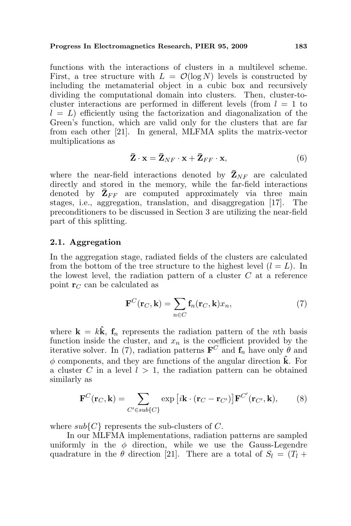functions with the interactions of clusters in a multilevel scheme. First, a tree structure with  $L = \mathcal{O}(\log N)$  levels is constructed by including the metamaterial object in a cubic box and recursively dividing the computational domain into clusters. Then, cluster-tocluster interactions are performed in different levels (from  $l = 1$  to  $l = L$ ) efficiently using the factorization and diagonalization of the Green's function, which are valid only for the clusters that are far from each other [21]. In general, MLFMA splits the matrix-vector multiplications as

$$
\bar{\mathbf{Z}} \cdot \mathbf{x} = \bar{\mathbf{Z}}_{NF} \cdot \mathbf{x} + \bar{\mathbf{Z}}_{FF} \cdot \mathbf{x},\tag{6}
$$

where the near-field interactions denoted by  $\bar{\mathbf{Z}}_{NF}$  are calculated directly and stored in the memory, while the far-field interactions denoted by  $\bar{\mathbf{Z}}_{FF}$  are computed approximately via three main stages, i.e., aggregation, translation, and disaggregation [17]. The preconditioners to be discussed in Section 3 are utilizing the near-field part of this splitting.

#### 2.1. Aggregation

In the aggregation stage, radiated fields of the clusters are calculated from the bottom of the tree structure to the highest level  $(l = L)$ . In the lowest level, the radiation pattern of a cluster  $C$  at a reference point  $\mathbf{r}_C$  can be calculated as

$$
\mathbf{F}^C(\mathbf{r}_C, \mathbf{k}) = \sum_{n \in C} \mathbf{f}_n(\mathbf{r}_C, \mathbf{k}) x_n,
$$
 (7)

where  $\mathbf{k} = k\hat{\mathbf{k}}$ ,  $\mathbf{f}_n$  represents the radiation pattern of the *n*th basis function inside the cluster, and  $x_n$  is the coefficient provided by the iterative solver. In (7), radiation patterns  $\mathbf{F}^C$  and  $\mathbf{f}_n$  have only  $\hat{\theta}$  and  $\phi$  components, and they are functions of the angular direction  $\hat{\mathbf{k}}$ . For a cluster C in a level  $l > 1$ , the radiation pattern can be obtained similarly as

$$
\mathbf{F}^C(\mathbf{r}_C, \mathbf{k}) = \sum_{C' \in sub\{C\}} \exp\left[i\mathbf{k} \cdot (\mathbf{r}_C - \mathbf{r}_{C'})\right] \mathbf{F}^{C'}(\mathbf{r}_{C'}, \mathbf{k}),\tag{8}
$$

where  $sub{C}$  represents the sub-clusters of C.

In our MLFMA implementations, radiation patterns are sampled uniformly in the  $\phi$  direction, while we use the Gauss-Legendre quadrature in the  $\theta$  direction [21]. There are a total of  $S_l = (T_l +$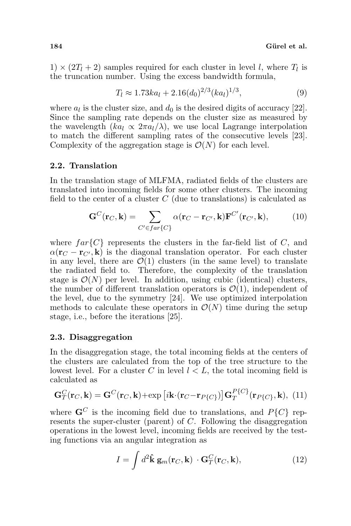$1) \times (2T_l + 2)$  samples required for each cluster in level l, where  $T_l$  is the truncation number. Using the excess bandwidth formula,

$$
T_l \approx 1.73ka_l + 2.16(d_0)^{2/3}(ka_l)^{1/3},\tag{9}
$$

where  $a_l$  is the cluster size, and  $d_0$  is the desired digits of accuracy [22]. Since the sampling rate depends on the cluster size as measured by the wavelength  $(ka_l \propto 2\pi a_l/\lambda)$ , we use local Lagrange interpolation to match the different sampling rates of the consecutive levels [23]. Complexity of the aggregation stage is  $\mathcal{O}(N)$  for each level.

### 2.2. Translation

In the translation stage of MLFMA, radiated fields of the clusters are translated into incoming fields for some other clusters. The incoming field to the center of a cluster  $C$  (due to translations) is calculated as

$$
\mathbf{G}^C(\mathbf{r}_C,\mathbf{k}) = \sum_{C' \in far\{C\}} \alpha(\mathbf{r}_C - \mathbf{r}_{C'},\mathbf{k}) \mathbf{F}^{C'}(\mathbf{r}_{C'},\mathbf{k}),\tag{10}
$$

where  $far{C}$  represents the clusters in the far-field list of C, and  $\alpha(\mathbf{r}_C - \mathbf{r}_{C}$ , k) is the diagonal translation operator. For each cluster in any level, there are  $\mathcal{O}(1)$  clusters (in the same level) to translate the radiated field to. Therefore, the complexity of the translation stage is  $\mathcal{O}(N)$  per level. In addition, using cubic (identical) clusters, the number of different translation operators is  $\mathcal{O}(1)$ , independent of the level, due to the symmetry [24]. We use optimized interpolation methods to calculate these operators in  $\mathcal{O}(N)$  time during the setup stage, i.e., before the iterations [25].

#### 2.3. Disaggregation

In the disaggregation stage, the total incoming fields at the centers of the clusters are calculated from the top of the tree structure to the lowest level. For a cluster C in level  $l < L$ , the total incoming field is calculated as

$$
\mathbf{G}_{T}^{C}(\mathbf{r}_{C}, \mathbf{k}) = \mathbf{G}^{C}(\mathbf{r}_{C}, \mathbf{k}) + \exp[i\mathbf{k} \cdot (\mathbf{r}_{C} - \mathbf{r}_{P\{C\}})] \mathbf{G}_{T}^{P\{C\}}(\mathbf{r}_{P\{C\}}, \mathbf{k}), (11)
$$

where  $\mathbf{G}^C$  is the incoming field due to translations, and  $P\{C\}$  represents the super-cluster (parent) of C. Following the disaggregation operations in the lowest level, incoming fields are received by the testing functions via an angular integration as

$$
I = \int d^2 \hat{\mathbf{k}} \, \mathbf{g}_m(\mathbf{r}_C, \mathbf{k}) \cdot \mathbf{G}_T^C(\mathbf{r}_C, \mathbf{k}), \tag{12}
$$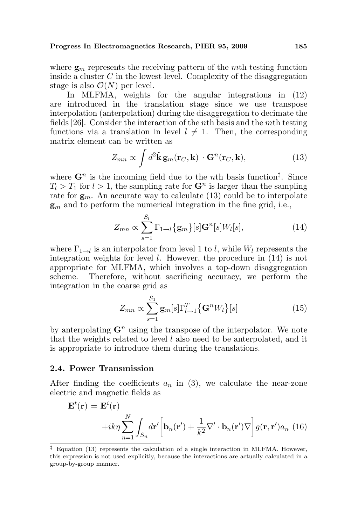where  $\mathbf{g}_m$  represents the receiving pattern of the mth testing function inside a cluster  $C$  in the lowest level. Complexity of the disaggregation stage is also  $\mathcal{O}(N)$  per level.

In MLFMA, weights for the angular integrations in (12) are introduced in the translation stage since we use transpose interpolation (anterpolation) during the disaggregation to decimate the fields [26]. Consider the interaction of the nth basis and the mth testing functions via a translation in level  $l \neq 1$ . Then, the corresponding matrix element can be written as

$$
Z_{mn} \propto \int d^2 \hat{\mathbf{k}} \, \mathbf{g}_m(\mathbf{r}_C, \mathbf{k}) \cdot \mathbf{G}^n(\mathbf{r}_C, \mathbf{k}), \tag{13}
$$

where  $\mathbf{G}^n$  is the incoming field due to the *n*th basis function<sup>†</sup>. Since  $T_l > T_1$  for  $l > 1$ , the sampling rate for  $\mathbf{G}^n$  is larger than the sampling rate for  $g_m$ . An accurate way to calculate (13) could be to interpolate  $\mathbf{g}_m$  and to perform the numerical integration in the fine grid, i.e.,

$$
Z_{mn} \propto \sum_{s=1}^{S_l} \Gamma_{1 \to l} \{ \mathbf{g}_m \} [s] \mathbf{G}^n [s] W_l [s], \tag{14}
$$

where  $\Gamma_{1\rightarrow l}$  is an interpolator from level 1 to l, while  $W_l$  represents the integration weights for level  $l$ . However, the procedure in  $(14)$  is not appropriate for MLFMA, which involves a top-down disaggregation scheme. Therefore, without sacrificing accuracy, we perform the integration in the coarse grid as

$$
Z_{mn} \propto \sum_{s=1}^{S_1} \mathbf{g}_m[s] \Gamma_{l\rightarrow 1}^T \{ \mathbf{G}^n W_l \} [s]
$$
(15)

by anterpolating  $\mathbf{G}^n$  using the transpose of the interpolator. We note that the weights related to level  $l$  also need to be anterpolated, and it is appropriate to introduce them during the translations.

### 2.4. Power Transmission

After finding the coefficients  $a_n$  in (3), we calculate the near-zone electric and magnetic fields as

$$
\mathbf{E}^{t}(\mathbf{r}) = \mathbf{E}^{i}(\mathbf{r})
$$

$$
+ik\eta \sum_{n=1}^{N} \int_{S_{n}} d\mathbf{r}' \bigg[ \mathbf{b}_{n}(\mathbf{r}') + \frac{1}{k^{2}} \nabla' \cdot \mathbf{b}_{n}(\mathbf{r}') \nabla \bigg] g(\mathbf{r}, \mathbf{r}') a_{n} (16)
$$

<sup>‡</sup> Equation (13) represents the calculation of a single interaction in MLFMA. However, this expression is not used explicitly, because the interactions are actually calculated in a group-by-group manner.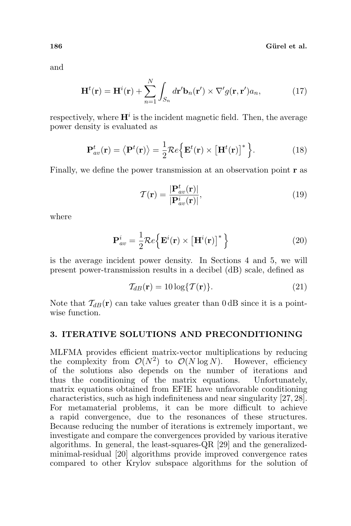186 Gürel et al.

and

$$
\mathbf{H}^{t}(\mathbf{r}) = \mathbf{H}^{i}(\mathbf{r}) + \sum_{n=1}^{N} \int_{S_n} d\mathbf{r}' \mathbf{b}_n(\mathbf{r}') \times \nabla' g(\mathbf{r}, \mathbf{r}') a_n, \qquad (17)
$$

respectively, where  $\mathbf{H}^i$  is the incident magnetic field. Then, the average power density is evaluated as

$$
\mathbf{P}_{av}^{t}(\mathbf{r}) = \left\langle \mathbf{P}^{t}(\mathbf{r}) \right\rangle = \frac{1}{2} \mathcal{R} e \left\{ \mathbf{E}^{t}(\mathbf{r}) \times \left[ \mathbf{H}^{t}(\mathbf{r}) \right]^{*} \right\}.
$$
 (18)

Finally, we define the power transmission at an observation point r as

$$
\mathcal{T}(\mathbf{r}) = \frac{|\mathbf{P}_{av}^t(\mathbf{r})|}{|\mathbf{P}_{av}^i(\mathbf{r})|},\tag{19}
$$

where

$$
\mathbf{P}_{av}^{i} = \frac{1}{2} \mathcal{R} e \left\{ \mathbf{E}^{i}(\mathbf{r}) \times \left[ \mathbf{H}^{i}(\mathbf{r}) \right]^{*} \right\}
$$
 (20)

is the average incident power density. In Sections 4 and 5, we will present power-transmission results in a decibel (dB) scale, defined as

$$
\mathcal{T}_{dB}(\mathbf{r}) = 10 \log \{ \mathcal{T}(\mathbf{r}) \}. \tag{21}
$$

Note that  $\mathcal{T}_{dB}(\mathbf{r})$  can take values greater than 0 dB since it is a pointwise function.

## 3. ITERATIVE SOLUTIONS AND PRECONDITIONING

MLFMA provides efficient matrix-vector multiplications by reducing the complexity from  $\mathcal{O}(N^2)$  to  $\mathcal{O}(N \log N)$ . However, efficiency of the solutions also depends on the number of iterations and thus the conditioning of the matrix equations. Unfortunately, matrix equations obtained from EFIE have unfavorable conditioning characteristics, such as high indefiniteness and near singularity [27, 28]. For metamaterial problems, it can be more difficult to achieve a rapid convergence, due to the resonances of these structures. Because reducing the number of iterations is extremely important, we investigate and compare the convergences provided by various iterative algorithms. In general, the least-squares-QR [29] and the generalizedminimal-residual [20] algorithms provide improved convergence rates compared to other Krylov subspace algorithms for the solution of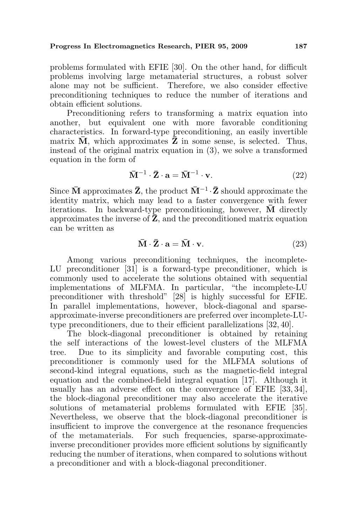problems formulated with EFIE [30]. On the other hand, for difficult problems involving large metamaterial structures, a robust solver alone may not be sufficient. Therefore, we also consider effective preconditioning techniques to reduce the number of iterations and obtain efficient solutions.

Preconditioning refers to transforming a matrix equation into another, but equivalent one with more favorable conditioning characteristics. In forward-type preconditioning, an easily invertible matrix  $\overline{M}$ , which approximates  $\overline{Z}$  in some sense, is selected. Thus, instead of the original matrix equation in (3), we solve a transformed equation in the form of

$$
\bar{\mathbf{M}}^{-1} \cdot \bar{\mathbf{Z}} \cdot \mathbf{a} = \bar{\mathbf{M}}^{-1} \cdot \mathbf{v}.
$$
 (22)

Since  $\bar{M}$  approximates  $\bar{Z}$ , the product  $\bar{M}^{-1} \cdot \bar{Z}$  should approximate the identity matrix, which may lead to a faster convergence with fewer iterations. In backward-type preconditioning, however,  $\overline{M}$  directly approximates the inverse of  $\bar{Z}$ , and the preconditioned matrix equation can be written as

$$
\overline{\mathbf{M}} \cdot \overline{\mathbf{Z}} \cdot \mathbf{a} = \overline{\mathbf{M}} \cdot \mathbf{v}.\tag{23}
$$

Among various preconditioning techniques, the incomplete-LU preconditioner [31] is a forward-type preconditioner, which is commonly used to accelerate the solutions obtained with sequential implementations of MLFMA. In particular, "the incomplete-LU preconditioner with threshold" [28] is highly successful for EFIE. In parallel implementations, however, block-diagonal and sparseapproximate-inverse preconditioners are preferred over incomplete-LUtype preconditioners, due to their efficient parallelizations [32, 40].

The block-diagonal preconditioner is obtained by retaining the self interactions of the lowest-level clusters of the MLFMA tree. Due to its simplicity and favorable computing cost, this preconditioner is commonly used for the MLFMA solutions of second-kind integral equations, such as the magnetic-field integral equation and the combined-field integral equation [17]. Although it usually has an adverse effect on the convergence of EFIE [33, 34], the block-diagonal preconditioner may also accelerate the iterative solutions of metamaterial problems formulated with EFIE [35]. Nevertheless, we observe that the block-diagonal preconditioner is insufficient to improve the convergence at the resonance frequencies of the metamaterials. For such frequencies, sparse-approximateinverse preconditioner provides more efficient solutions by significantly reducing the number of iterations, when compared to solutions without a preconditioner and with a block-diagonal preconditioner.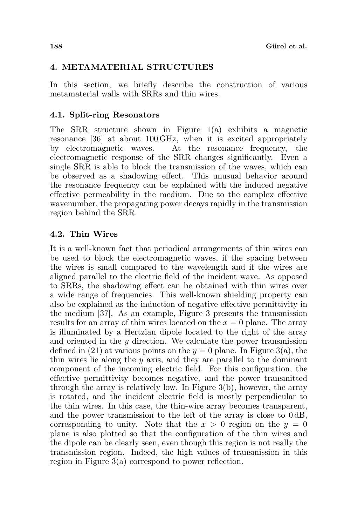# 4. METAMATERIAL STRUCTURES

In this section, we briefly describe the construction of various metamaterial walls with SRRs and thin wires.

# 4.1. Split-ring Resonators

The SRR structure shown in Figure 1(a) exhibits a magnetic resonance [36] at about 100 GHz, when it is excited appropriately by electromagnetic waves. At the resonance frequency, the electromagnetic response of the SRR changes significantly. Even a single SRR is able to block the transmission of the waves, which can be observed as a shadowing effect. This unusual behavior around the resonance frequency can be explained with the induced negative effective permeability in the medium. Due to the complex effective wavenumber, the propagating power decays rapidly in the transmission region behind the SRR.

# 4.2. Thin Wires

It is a well-known fact that periodical arrangements of thin wires can be used to block the electromagnetic waves, if the spacing between the wires is small compared to the wavelength and if the wires are aligned parallel to the electric field of the incident wave. As opposed to SRRs, the shadowing effect can be obtained with thin wires over a wide range of frequencies. This well-known shielding property can also be explained as the induction of negative effective permittivity in the medium [37]. As an example, Figure 3 presents the transmission results for an array of thin wires located on the  $x = 0$  plane. The array is illuminated by a Hertzian dipole located to the right of the array and oriented in the  $y$  direction. We calculate the power transmission defined in (21) at various points on the  $y = 0$  plane. In Figure 3(a), the thin wires lie along the  $y$  axis, and they are parallel to the dominant component of the incoming electric field. For this configuration, the effective permittivity becomes negative, and the power transmitted through the array is relatively low. In Figure 3(b), however, the array is rotated, and the incident electric field is mostly perpendicular to the thin wires. In this case, the thin-wire array becomes transparent, and the power transmission to the left of the array is close to 0 dB, corresponding to unity. Note that the  $x > 0$  region on the  $y = 0$ plane is also plotted so that the configuration of the thin wires and the dipole can be clearly seen, even though this region is not really the transmission region. Indeed, the high values of transmission in this region in Figure 3(a) correspond to power reflection.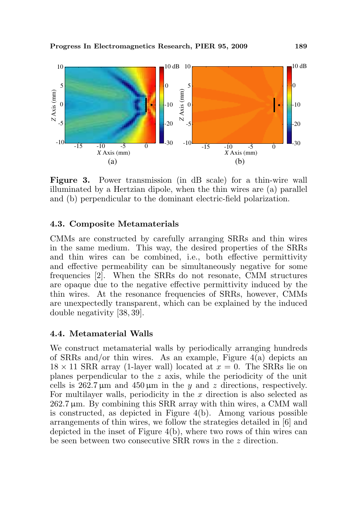

Figure 3. Power transmission (in dB scale) for a thin-wire wall illuminated by a Hertzian dipole, when the thin wires are (a) parallel and (b) perpendicular to the dominant electric-field polarization.

#### 4.3. Composite Metamaterials

CMMs are constructed by carefully arranging SRRs and thin wires in the same medium. This way, the desired properties of the SRRs and thin wires can be combined, i.e., both effective permittivity and effective permeability can be simultaneously negative for some frequencies [2]. When the SRRs do not resonate, CMM structures are opaque due to the negative effective permittivity induced by the thin wires. At the resonance frequencies of SRRs, however, CMMs are unexpectedly transparent, which can be explained by the induced double negativity [38, 39].

### 4.4. Metamaterial Walls

We construct metamaterial walls by periodically arranging hundreds of SRRs and/or thin wires. As an example, Figure  $4(a)$  depicts an  $18 \times 11$  SRR array (1-layer wall) located at  $x = 0$ . The SRRs lie on planes perpendicular to the z axis, while the periodicity of the unit cells is  $262.7 \,\mu \text{m}$  and  $450 \,\mu \text{m}$  in the y and z directions, respectively. For multilayer walls, periodicity in the  $x$  direction is also selected as  $262.7 \,\mu$ m. By combining this SRR array with thin wires, a CMM wall is constructed, as depicted in Figure 4(b). Among various possible arrangements of thin wires, we follow the strategies detailed in [6] and depicted in the inset of Figure 4(b), where two rows of thin wires can be seen between two consecutive SRR rows in the z direction.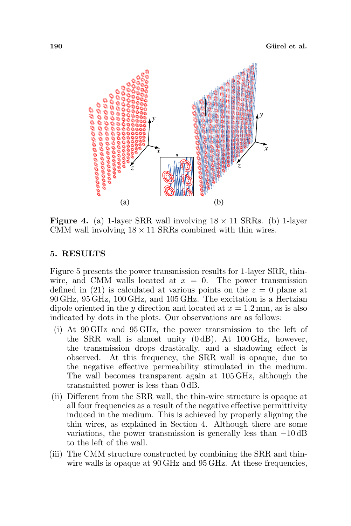

**Figure 4.** (a) 1-layer SRR wall involving  $18 \times 11$  SRRs. (b) 1-layer CMM wall involving  $18 \times 11$  SRRs combined with thin wires.

### 5. RESULTS

Figure 5 presents the power transmission results for 1-layer SRR, thinwire, and CMM walls located at  $x = 0$ . The power transmission defined in (21) is calculated at various points on the  $z = 0$  plane at 90 GHz, 95 GHz, 100 GHz, and 105 GHz. The excitation is a Hertzian dipole oriented in the y direction and located at  $x = 1.2$  mm, as is also indicated by dots in the plots. Our observations are as follows:

- (i) At 90 GHz and 95 GHz, the power transmission to the left of the SRR wall is almost unity (0 dB). At 100 GHz, however, the transmission drops drastically, and a shadowing effect is observed. At this frequency, the SRR wall is opaque, due to the negative effective permeability stimulated in the medium. The wall becomes transparent again at 105 GHz, although the transmitted power is less than 0 dB.
- (ii) Different from the SRR wall, the thin-wire structure is opaque at all four frequencies as a result of the negative effective permittivity induced in the medium. This is achieved by properly aligning the thin wires, as explained in Section 4. Although there are some variations, the power transmission is generally less than  $-10 \text{ dB}$ to the left of the wall.
- (iii) The CMM structure constructed by combining the SRR and thinwire walls is opaque at  $90 \text{ GHz}$  and  $95 \text{ GHz}$ . At these frequencies,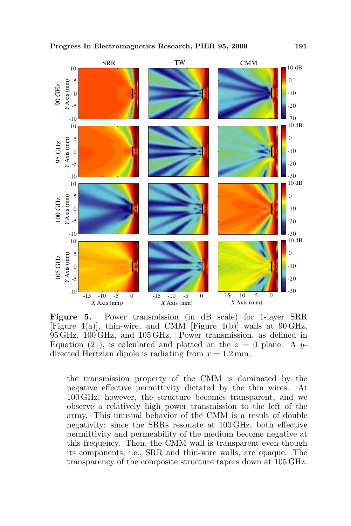

Figure 5. Power transmission (in dB scale) for 1-layer SRR [Figure 4(a)], thin-wire, and CMM [Figure 4(b)] walls at 90 GHz, 95 GHz, 100 GHz, and 105 GHz. Power transmission, as defined in Equation (21), is calculated and plotted on the  $z = 0$  plane. A ydirected Hertzian dipole is radiating from  $x = 1.2$  mm.

the transmission property of the CMM is dominated by the negative effective permittivity dictated by the thin wires. At 100 GHz, however, the structure becomes transparent, and we observe a relatively high power transmission to the left of the array. This unusual behavior of the CMM is a result of double negativity; since the SRRs resonate at 100 GHz, both effective permittivity and permeability of the medium become negative at this frequency. Then, the CMM wall is transparent even though its components, i.e., SRR and thin-wire walls, are opaque. The transparency of the composite structure tapers down at 105 GHz.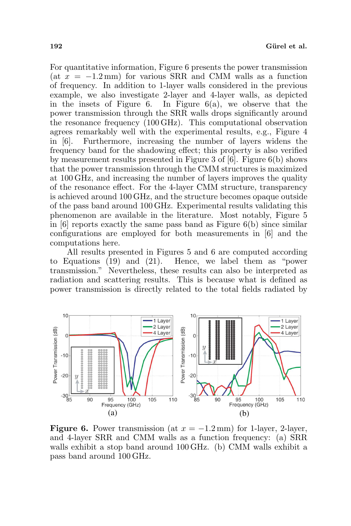For quantitative information, Figure 6 presents the power transmission (at  $x = -1.2$  mm) for various SRR and CMM walls as a function of frequency. In addition to 1-layer walls considered in the previous example, we also investigate 2-layer and 4-layer walls, as depicted in the insets of Figure 6. In Figure  $6(a)$ , we observe that the power transmission through the SRR walls drops significantly around the resonance frequency (100 GHz). This computational observation agrees remarkably well with the experimental results, e.g., Figure 4 in [6]. Furthermore, increasing the number of layers widens the frequency band for the shadowing effect; this property is also verified by measurement results presented in Figure 3 of [6]. Figure 6(b) shows that the power transmission through the CMM structures is maximized at 100 GHz, and increasing the number of layers improves the quality of the resonance effect. For the 4-layer CMM structure, transparency is achieved around 100 GHz, and the structure becomes opaque outside of the pass band around 100 GHz. Experimental results validating this phenomenon are available in the literature. Most notably, Figure 5 in [6] reports exactly the same pass band as Figure 6(b) since similar configurations are employed for both measurements in [6] and the computations here.

All results presented in Figures 5 and 6 are computed according to Equations (19) and (21). Hence, we label them as "power transmission." Nevertheless, these results can also be interpreted as radiation and scattering results. This is because what is defined as power transmission is directly related to the total fields radiated by



**Figure 6.** Power transmission (at  $x = -1.2$  mm) for 1-layer, 2-layer, and 4-layer SRR and CMM walls as a function frequency: (a) SRR walls exhibit a stop band around 100 GHz. (b) CMM walls exhibit a pass band around 100 GHz.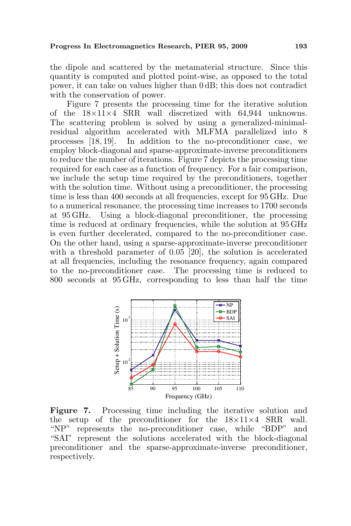the dipole and scattered by the metamaterial structure. Since this quantity is computed and plotted point-wise, as opposed to the total power, it can take on values higher than 0 dB; this does not contradict with the conservation of power.

Figure 7 presents the processing time for the iterative solution of the 18×11×4 SRR wall discretized with 64,944 unknowns. The scattering problem is solved by using a generalized-minimalresidual algorithm accelerated with MLFMA parallelized into 8 processes [18, 19]. In addition to the no-preconditioner case, we employ block-diagonal and sparse-approximate-inverse preconditioners to reduce the number of iterations. Figure 7 depicts the processing time required for each case as a function of frequency. For a fair comparison, we include the setup time required by the preconditioners, together with the solution time. Without using a preconditioner, the processing time is less than 400 seconds at all frequencies, except for 95 GHz. Due to a numerical resonance, the processing time increases to 1700 seconds at 95 GHz. Using a block-diagonal preconditioner, the processing time is reduced at ordinary frequencies, while the solution at 95 GHz is even further decelerated, compared to the no-preconditioner case. On the other hand, using a sparse-approximate-inverse preconditioner with a threshold parameter of 0.05 [20], the solution is accelerated at all frequencies, including the resonance frequency, again compared to the no-preconditioner case. The processing time is reduced to 800 seconds at 95 GHz, corresponding to less than half the time



Figure 7. Processing time including the iterative solution and the setup of the preconditioner for the  $18\times11\times4$  SRR wall. "NP" represents the no-preconditioner case, while "BDP" and "SAI" represent the solutions accelerated with the block-diagonal preconditioner and the sparse-approximate-inverse preconditioner, respectively.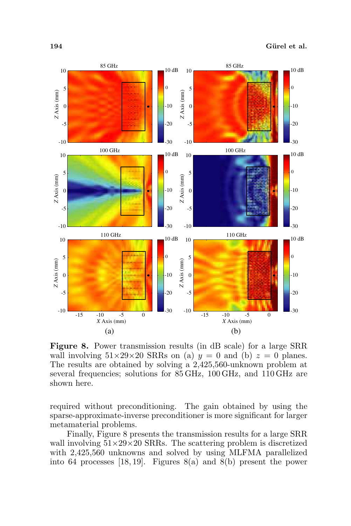

Figure 8. Power transmission results (in dB scale) for a large SRR wall involving  $51\times29\times20$  SRRs on (a)  $y = 0$  and (b)  $z = 0$  planes. The results are obtained by solving a 2,425,560-unknown problem at several frequencies; solutions for 85 GHz, 100 GHz, and 110 GHz are shown here.

required without preconditioning. The gain obtained by using the sparse-approximate-inverse preconditioner is more significant for larger metamaterial problems.

Finally, Figure 8 presents the transmission results for a large SRR wall involving  $51\times29\times20$  SRRs. The scattering problem is discretized with 2,425,560 unknowns and solved by using MLFMA parallelized into 64 processes [18, 19]. Figures 8(a) and 8(b) present the power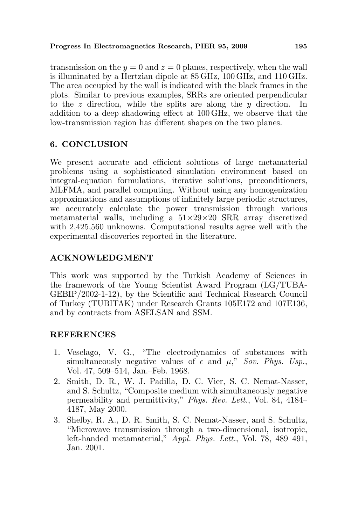transmission on the  $y = 0$  and  $z = 0$  planes, respectively, when the wall is illuminated by a Hertzian dipole at 85 GHz, 100 GHz, and 110 GHz. The area occupied by the wall is indicated with the black frames in the plots. Similar to previous examples, SRRs are oriented perpendicular to the z direction, while the splits are along the  $y$  direction. In addition to a deep shadowing effect at 100 GHz, we observe that the low-transmission region has different shapes on the two planes.

# 6. CONCLUSION

We present accurate and efficient solutions of large metamaterial problems using a sophisticated simulation environment based on integral-equation formulations, iterative solutions, preconditioners, MLFMA, and parallel computing. Without using any homogenization approximations and assumptions of infinitely large periodic structures, we accurately calculate the power transmission through various metamaterial walls, including a  $51\times29\times20$  SRR array discretized with 2,425,560 unknowns. Computational results agree well with the experimental discoveries reported in the literature.

# ACKNOWLEDGMENT

This work was supported by the Turkish Academy of Sciences in the framework of the Young Scientist Award Program (LG/TUBA-GEBIP/2002-1-12), by the Scientific and Technical Research Council of Turkey (TUBITAK) under Research Grants 105E172 and 107E136, and by contracts from ASELSAN and SSM.

# **REFERENCES**

- 1. Veselago, V. G., "The electrodynamics of substances with simultaneously negative values of  $\epsilon$  and  $\mu$ ," Sov. Phys. Usp., Vol. 47, 509–514, Jan.–Feb. 1968.
- 2. Smith, D. R., W. J. Padilla, D. C. Vier, S. C. Nemat-Nasser, and S. Schultz, "Composite medium with simultaneously negative permeability and permittivity," Phys. Rev. Lett., Vol. 84, 4184– 4187, May 2000.
- 3. Shelby, R. A., D. R. Smith, S. C. Nemat-Nasser, and S. Schultz, "Microwave transmission through a two-dimensional, isotropic, left-handed metamaterial," Appl. Phys. Lett., Vol. 78, 489–491, Jan. 2001.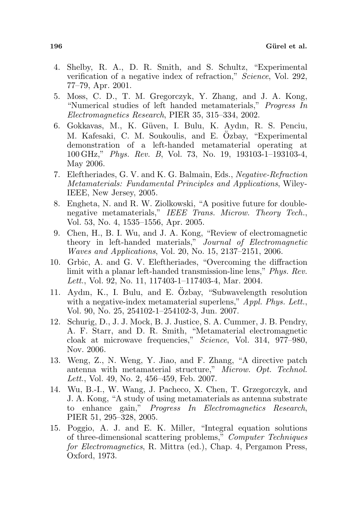- 4. Shelby, R. A., D. R. Smith, and S. Schultz, "Experimental verification of a negative index of refraction," Science, Vol. 292, 77–79, Apr. 2001.
- 5. Moss, C. D., T. M. Gregorczyk, Y. Zhang, and J. A. Kong, "Numerical studies of left handed metamaterials," Progress In Electromagnetics Research, PIER 35, 315–334, 2002.
- 6. Gokkavas, M., K. G¨uven, I. Bulu, K. Aydın, R. S. Penciu, M. Kafesaki, C. M. Soukoulis, and E. Ozbay, "Experimental demonstration of a left-handed metamaterial operating at 100 GHz," Phys. Rev. B, Vol. 73, No. 19, 193103-1–193103-4, May 2006.
- 7. Eleftheriades, G. V. and K. G. Balmain, Eds., Negative-Refraction Metamaterials: Fundamental Principles and Applications, Wiley-IEEE, New Jersey, 2005.
- 8. Engheta, N. and R. W. Ziolkowski, "A positive future for doublenegative metamaterials," IEEE Trans. Microw. Theory Tech., Vol. 53, No. 4, 1535–1556, Apr. 2005.
- 9. Chen, H., B. I. Wu, and J. A. Kong, "Review of electromagnetic theory in left-handed materials," Journal of Electromagnetic Waves and Applications, Vol. 20, No. 15, 2137–2151, 2006.
- 10. Grbic, A. and G. V. Eleftheriades, "Overcoming the diffraction limit with a planar left-handed transmission-line lens," Phys. Rev. Lett., Vol. 92, No. 11, 117403-1–117403-4, Mar. 2004.
- 11. Aydın, K., I. Bulu, and E. Ozbay, "Subwavelength resolution ¨ with a negative-index metamaterial superlens," Appl. Phys. Lett., Vol. 90, No. 25, 254102-1–254102-3, Jun. 2007.
- 12. Schurig, D., J. J. Mock, B. J. Justice, S. A. Cummer, J. B. Pendry, A. F. Starr, and D. R. Smith, "Metamaterial electromagnetic cloak at microwave frequencies," Science, Vol. 314, 977–980, Nov. 2006.
- 13. Weng, Z., N. Weng, Y. Jiao, and F. Zhang, "A directive patch antenna with metamaterial structure," Microw. Opt. Technol. Lett., Vol. 49, No. 2, 456–459, Feb. 2007.
- 14. Wu, B.-I., W. Wang, J. Pacheco, X. Chen, T. Grzegorczyk, and J. A. Kong, "A study of using metamaterials as antenna substrate to enhance gain," Progress In Electromagnetics Research, PIER 51, 295–328, 2005.
- 15. Poggio, A. J. and E. K. Miller, "Integral equation solutions of three-dimensional scattering problems," Computer Techniques for Electromagnetics, R. Mittra (ed.), Chap. 4, Pergamon Press, Oxford, 1973.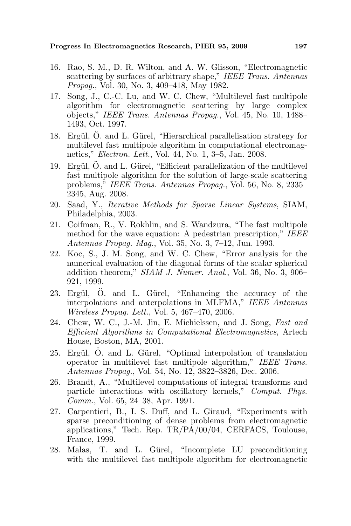- 16. Rao, S. M., D. R. Wilton, and A. W. Glisson, "Electromagnetic scattering by surfaces of arbitrary shape," IEEE Trans. Antennas Propag., Vol. 30, No. 3, 409–418, May 1982.
- 17. Song, J., C.-C. Lu, and W. C. Chew, "Multilevel fast multipole algorithm for electromagnetic scattering by large complex objects," IEEE Trans. Antennas Propag., Vol. 45, No. 10, 1488– 1493, Oct. 1997.
- 18. Ergül, Ö. and L. Gürel, "Hierarchical parallelisation strategy for multilevel fast multipole algorithm in computational electromagnetics," Electron. Lett., Vol. 44, No. 1, 3–5, Jan. 2008.
- 19. Ergül,  $\ddot{O}$ . and L. Gürel, "Efficient parallelization of the multilevel fast multipole algorithm for the solution of large-scale scattering problems," IEEE Trans. Antennas Propag., Vol. 56, No. 8, 2335– 2345, Aug. 2008.
- 20. Saad, Y., Iterative Methods for Sparse Linear Systems, SIAM, Philadelphia, 2003.
- 21. Coifman, R., V. Rokhlin, and S. Wandzura, "The fast multipole method for the wave equation: A pedestrian prescription," IEEE Antennas Propag. Mag., Vol. 35, No. 3, 7–12, Jun. 1993.
- 22. Koc, S., J. M. Song, and W. C. Chew, "Error analysis for the numerical evaluation of the diagonal forms of the scalar spherical addition theorem," SIAM J. Numer. Anal., Vol. 36, No. 3, 906– 921, 1999.
- 23. Ergül, Ö. and L. Gürel, "Enhancing the accuracy of the interpolations and anterpolations in MLFMA," IEEE Antennas Wireless Propag. Lett., Vol. 5, 467–470, 2006.
- 24. Chew, W. C., J.-M. Jin, E. Michielssen, and J. Song, Fast and Efficient Algorithms in Computational Electromagnetics, Artech House, Boston, MA, 2001.
- 25. Ergül, O. and L. Gürel, "Optimal interpolation of translation operator in multilevel fast multipole algorithm," IEEE Trans. Antennas Propag., Vol. 54, No. 12, 3822–3826, Dec. 2006.
- 26. Brandt, A., "Multilevel computations of integral transforms and particle interactions with oscillatory kernels," Comput. Phys. Comm., Vol. 65, 24–38, Apr. 1991.
- 27. Carpentieri, B., I. S. Duff, and L. Giraud, "Experiments with sparse preconditioning of dense problems from electromagnetic applications," Tech. Rep. TR/PA/00/04, CERFACS, Toulouse, France, 1999.
- 28. Malas, T. and L. Gürel, "Incomplete LU preconditioning with the multilevel fast multipole algorithm for electromagnetic